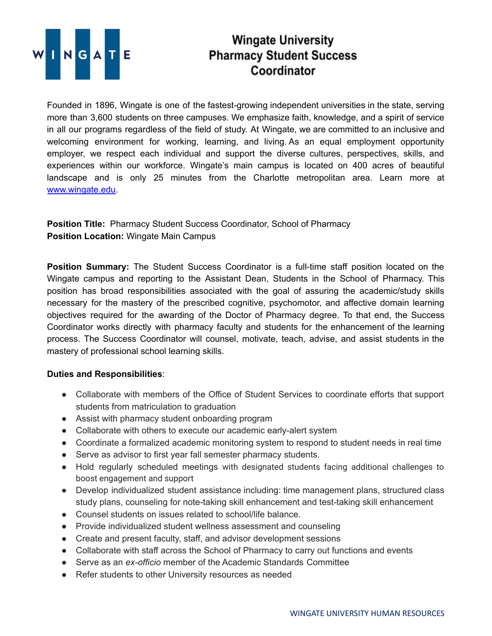

## **Wingate University Pharmacy Student Success** Coordinator

Founded in 1896, Wingate is one of the fastest-growing independent universities in the state, serving more than 3,600 students on three campuses. We emphasize faith, knowledge, and a spirit of service in all our programs regardless of the field of study. At Wingate, we are committed to an inclusive and welcoming environment for working, learning, and living. As an equal employment opportunity employer, we respect each individual and support the diverse cultures, perspectives, skills, and experiences within our workforce. Wingate's main campus is located on 400 acres of beautiful landscape and is only 25 minutes from the Charlotte metropolitan area. Learn more at [www.wingate.edu](http://www.wingate/edu).

**Position Title:** Pharmacy Student Success Coordinator, School of Pharmacy **Position Location:** Wingate Main Campus

**Position Summary:** The Student Success Coordinator is a full-time staff position located on the Wingate campus and reporting to the Assistant Dean, Students in the School of Pharmacy. This position has broad responsibilities associated with the goal of assuring the academic/study skills necessary for the mastery of the prescribed cognitive, psychomotor, and affective domain learning objectives required for the awarding of the Doctor of Pharmacy degree. To that end, the Success Coordinator works directly with pharmacy faculty and students for the enhancement of the learning process. The Success Coordinator will counsel, motivate, teach, advise, and assist students in the mastery of professional school learning skills.

## **Duties and Responsibilities**:

- Collaborate with members of the Office of Student Services to coordinate efforts that support students from matriculation to graduation
- Assist with pharmacy student onboarding program
- Collaborate with others to execute our academic early-alert system
- Coordinate a formalized academic monitoring system to respond to student needs in real time
- Serve as advisor to first year fall semester pharmacy students.
- Hold regularly scheduled meetings with designated students facing additional challenges to boost engagement and support
- Develop individualized student assistance including: time management plans, structured class study plans, counseling for note-taking skill enhancement and test-taking skill enhancement
- Counsel students on issues related to school/life balance.
- Provide individualized student wellness assessment and counseling
- Create and present faculty, staff, and advisor development sessions
- Collaborate with staff across the School of Pharmacy to carry out functions and events
- Serve as an *ex-officio* member of the Academic Standards Committee
- Refer students to other University resources as needed